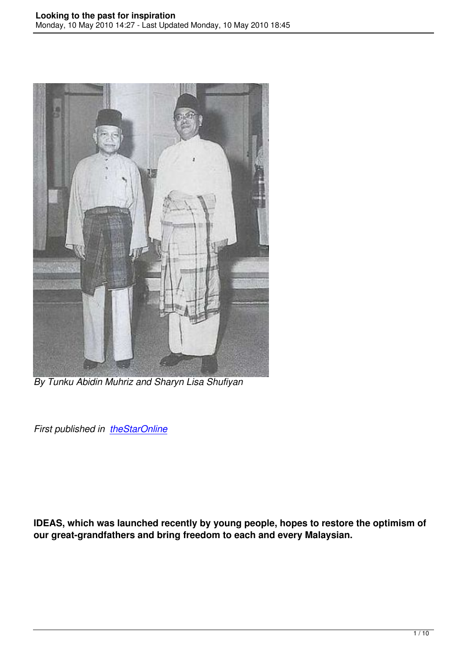

*By Tunku Abidin Muhriz and Sharyn Lisa Shufiyan*

**First published in theStarOnline** 

**IDEAS, which was launched recently by young people, hopes to restore the optimism of our great-grandfathers and bring freedom to each and every Malaysian.**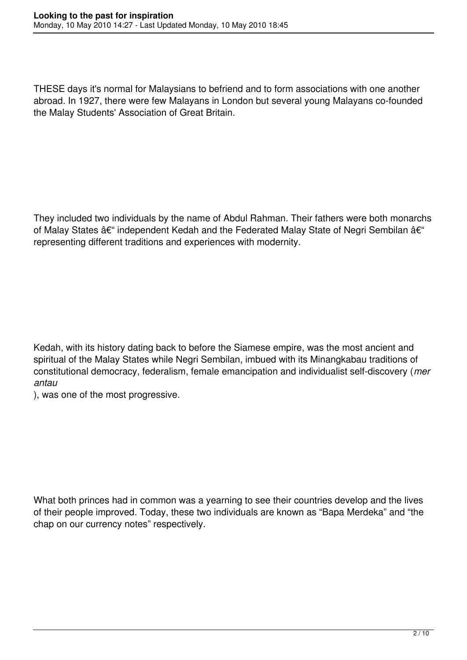THESE days it's normal for Malaysians to befriend and to form associations with one another abroad. In 1927, there were few Malayans in London but several young Malayans co-founded the Malay Students' Association of Great Britain.

They included two individuals by the name of Abdul Rahman. Their fathers were both monarchs of Malay States  $\hat{a}\epsilon$ " independent Kedah and the Federated Malay State of Negri Sembilan  $\hat{a}\epsilon$ " representing different traditions and experiences with modernity.

Kedah, with its history dating back to before the Siamese empire, was the most ancient and spiritual of the Malay States while Negri Sembilan, imbued with its Minangkabau traditions of constitutional democracy, federalism, female emancipation and individualist self-discovery (*mer antau*

), was one of the most progressive.

What both princes had in common was a yearning to see their countries develop and the lives of their people improved. Today, these two individuals are known as "Bapa Merdeka" and "the chap on our currency notes" respectively.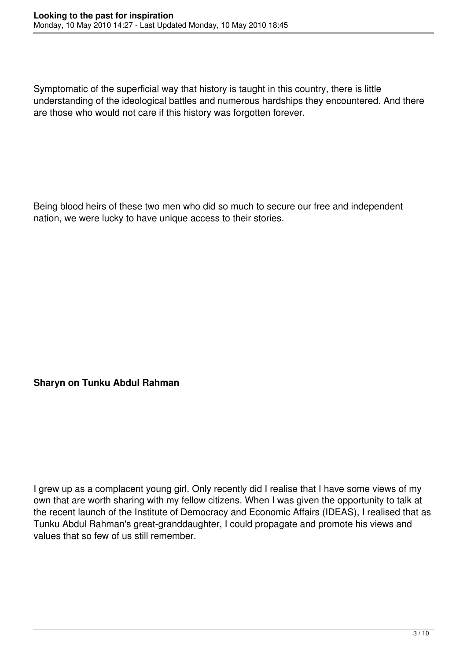Symptomatic of the superficial way that history is taught in this country, there is little understanding of the ideological battles and numerous hardships they encountered. And there are those who would not care if this history was forgotten forever.

Being blood heirs of these two men who did so much to secure our free and independent nation, we were lucky to have unique access to their stories.

## **Sharyn on Tunku Abdul Rahman**

I grew up as a complacent young girl. Only recently did I realise that I have some views of my own that are worth sharing with my fellow citizens. When I was given the opportunity to talk at the recent launch of the Institute of Democracy and Economic Affairs (IDEAS), I realised that as Tunku Abdul Rahman's great-granddaughter, I could propagate and promote his views and values that so few of us still remember.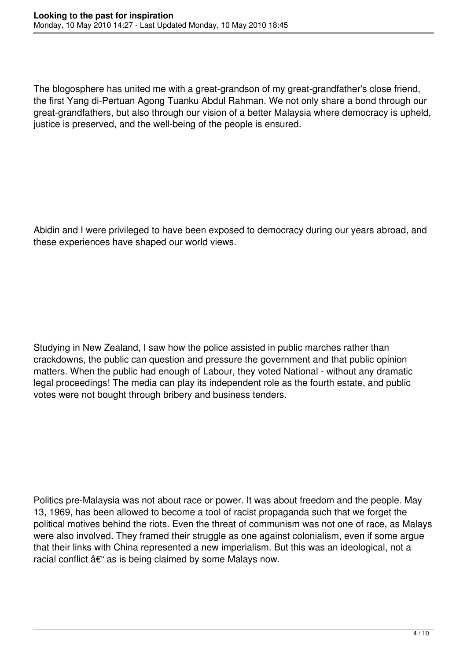The blogosphere has united me with a great-grandson of my great-grandfather's close friend, the first Yang di-Pertuan Agong Tuanku Abdul Rahman. We not only share a bond through our great-grandfathers, but also through our vision of a better Malaysia where democracy is upheld, justice is preserved, and the well-being of the people is ensured.

Abidin and I were privileged to have been exposed to democracy during our years abroad, and these experiences have shaped our world views.

Studying in New Zealand, I saw how the police assisted in public marches rather than crackdowns, the public can question and pressure the government and that public opinion matters. When the public had enough of Labour, they voted National - without any dramatic legal proceedings! The media can play its independent role as the fourth estate, and public votes were not bought through bribery and business tenders.

Politics pre-Malaysia was not about race or power. It was about freedom and the people. May 13, 1969, has been allowed to become a tool of racist propaganda such that we forget the political motives behind the riots. Even the threat of communism was not one of race, as Malays were also involved. They framed their struggle as one against colonialism, even if some argue that their links with China represented a new imperialism. But this was an ideological, not a racial conflict  $\hat{a}\epsilon$ " as is being claimed by some Malays now.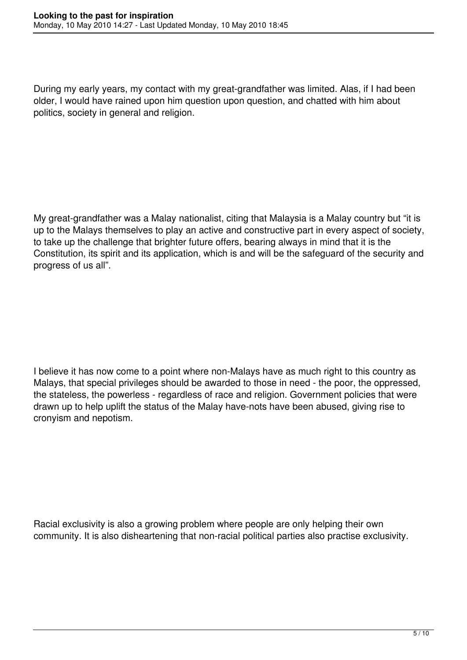During my early years, my contact with my great-grandfather was limited. Alas, if I had been older, I would have rained upon him question upon question, and chatted with him about politics, society in general and religion.

My great-grandfather was a Malay nationalist, citing that Malaysia is a Malay country but "it is up to the Malays themselves to play an active and constructive part in every aspect of society, to take up the challenge that brighter future offers, bearing always in mind that it is the Constitution, its spirit and its application, which is and will be the safeguard of the security and progress of us all".

I believe it has now come to a point where non-Malays have as much right to this country as Malays, that special privileges should be awarded to those in need - the poor, the oppressed, the stateless, the powerless - regardless of race and religion. Government policies that were drawn up to help uplift the status of the Malay have-nots have been abused, giving rise to cronyism and nepotism.

Racial exclusivity is also a growing problem where people are only helping their own community. It is also disheartening that non-racial political parties also practise exclusivity.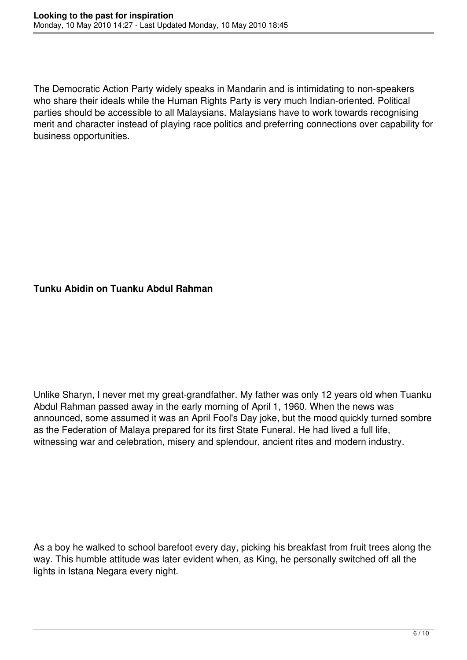The Democratic Action Party widely speaks in Mandarin and is intimidating to non-speakers who share their ideals while the Human Rights Party is very much Indian-oriented. Political parties should be accessible to all Malaysians. Malaysians have to work towards recognising merit and character instead of playing race politics and preferring connections over capability for business opportunities.

## **Tunku Abidin on Tuanku Abdul Rahman**

Unlike Sharyn, I never met my great-grandfather. My father was only 12 years old when Tuanku Abdul Rahman passed away in the early morning of April 1, 1960. When the news was announced, some assumed it was an April Fool's Day joke, but the mood quickly turned sombre as the Federation of Malaya prepared for its first State Funeral. He had lived a full life, witnessing war and celebration, misery and splendour, ancient rites and modern industry.

As a boy he walked to school barefoot every day, picking his breakfast from fruit trees along the way. This humble attitude was later evident when, as King, he personally switched off all the lights in Istana Negara every night.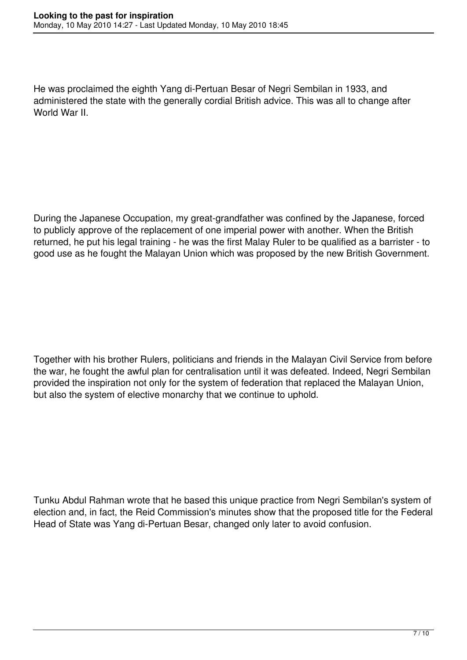He was proclaimed the eighth Yang di-Pertuan Besar of Negri Sembilan in 1933, and administered the state with the generally cordial British advice. This was all to change after World War II.

During the Japanese Occupation, my great-grandfather was confined by the Japanese, forced to publicly approve of the replacement of one imperial power with another. When the British returned, he put his legal training - he was the first Malay Ruler to be qualified as a barrister - to good use as he fought the Malayan Union which was proposed by the new British Government.

Together with his brother Rulers, politicians and friends in the Malayan Civil Service from before the war, he fought the awful plan for centralisation until it was defeated. Indeed, Negri Sembilan provided the inspiration not only for the system of federation that replaced the Malayan Union, but also the system of elective monarchy that we continue to uphold.

Tunku Abdul Rahman wrote that he based this unique practice from Negri Sembilan's system of election and, in fact, the Reid Commission's minutes show that the proposed title for the Federal Head of State was Yang di-Pertuan Besar, changed only later to avoid confusion.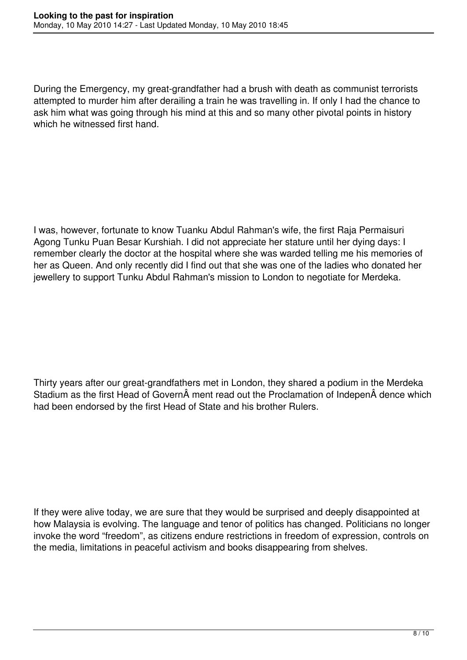During the Emergency, my great-grandfather had a brush with death as communist terrorists attempted to murder him after derailing a train he was travelling in. If only I had the chance to ask him what was going through his mind at this and so many other pivotal points in history which he witnessed first hand.

I was, however, fortunate to know Tuanku Abdul Rahman's wife, the first Raja Permaisuri Agong Tunku Puan Besar Kurshiah. I did not appreciate her stature until her dying days: I remember clearly the doctor at the hospital where she was warded telling me his memories of her as Queen. And only recently did I find out that she was one of the ladies who donated her jewellery to support Tunku Abdul Rahman's mission to London to negotiate for Merdeka.

Thirty years after our great-grandfathers met in London, they shared a podium in the Merdeka Stadium as the first Head of Govern ment read out the Proclamation of Indepen dence which had been endorsed by the first Head of State and his brother Rulers.

If they were alive today, we are sure that they would be surprised and deeply disappointed at how Malaysia is evolving. The language and tenor of politics has changed. Politicians no longer invoke the word "freedom", as citizens endure restrictions in freedom of expression, controls on the media, limitations in peaceful activism and books disappearing from shelves.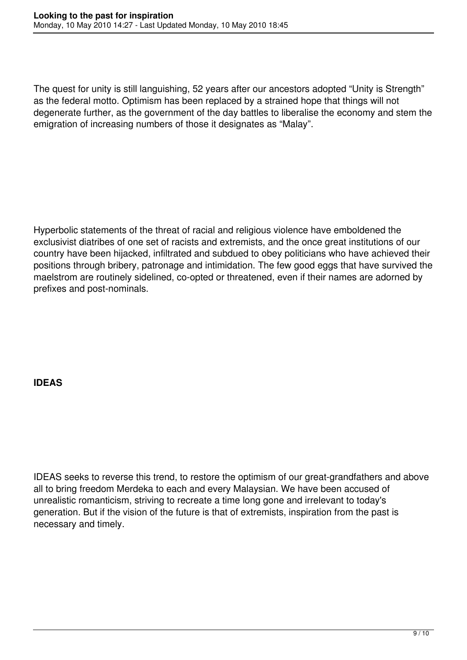The quest for unity is still languishing, 52 years after our ancestors adopted "Unity is Strength" as the federal motto. Optimism has been replaced by a strained hope that things will not degenerate further, as the government of the day battles to liberalise the economy and stem the emigration of increasing numbers of those it designates as "Malay".

Hyperbolic statements of the threat of racial and religious violence have emboldened the exclusivist diatribes of one set of racists and extremists, and the once great institutions of our country have been hijacked, infiltrated and subdued to obey politicians who have achieved their positions through bribery, patronage and intimidation. The few good eggs that have survived the maelstrom are routinely sidelined, co-opted or threatened, even if their names are adorned by prefixes and post-nominals.

## **IDEAS**

IDEAS seeks to reverse this trend, to restore the optimism of our great-grandfathers and above all to bring freedom Merdeka to each and every Malaysian. We have been accused of unrealistic romanticism, striving to recreate a time long gone and irrelevant to today's generation. But if the vision of the future is that of extremists, inspiration from the past is necessary and timely.